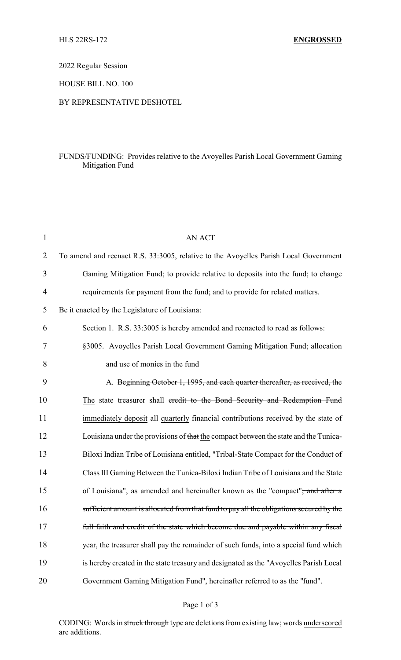2022 Regular Session

HOUSE BILL NO. 100

## BY REPRESENTATIVE DESHOTEL

## FUNDS/FUNDING: Provides relative to the Avoyelles Parish Local Government Gaming Mitigation Fund

| $\mathbf{1}$   | <b>AN ACT</b>                                                                             |
|----------------|-------------------------------------------------------------------------------------------|
| $\overline{2}$ | To amend and reenact R.S. 33:3005, relative to the Avoyelles Parish Local Government      |
| 3              | Gaming Mitigation Fund; to provide relative to deposits into the fund; to change          |
| 4              | requirements for payment from the fund; and to provide for related matters.               |
| 5              | Be it enacted by the Legislature of Louisiana:                                            |
| 6              | Section 1. R.S. 33:3005 is hereby amended and reenacted to read as follows:               |
| 7              | §3005. Avoyelles Parish Local Government Gaming Mitigation Fund; allocation               |
| 8              | and use of monies in the fund                                                             |
| 9              | A. Beginning October 1, 1995, and each quarter thereafter, as received, the               |
| 10             | The state treasurer shall credit to the Bond Security and Redemption Fund                 |
| 11             | immediately deposit all quarterly financial contributions received by the state of        |
| 12             | Louisiana under the provisions of that the compact between the state and the Tunica-      |
| 13             | Biloxi Indian Tribe of Louisiana entitled, "Tribal-State Compact for the Conduct of       |
| 14             | Class III Gaming Between the Tunica-Biloxi Indian Tribe of Louisiana and the State        |
| 15             | of Louisiana", as amended and hereinafter known as the "compact" <del>; and after a</del> |
| 16             | sufficient amount is allocated from that fund to pay all the obligations secured by the   |
| 17             | full faith and credit of the state which become due and payable within any fiscal         |
| 18             | year, the treasurer shall pay the remainder of such funds, into a special fund which      |
| 19             | is hereby created in the state treasury and designated as the "Avoyelles Parish Local     |
| 20             | Government Gaming Mitigation Fund", hereinafter referred to as the "fund".                |

## Page 1 of 3

CODING: Words in struck through type are deletions from existing law; words underscored are additions.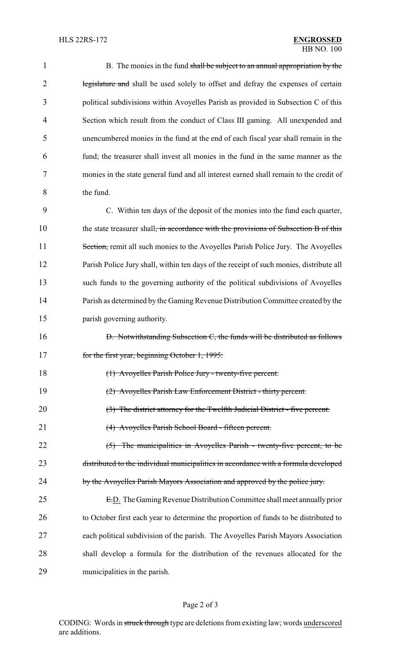| 1  | B. The monies in the fund shall be subject to an annual appropriation by the                     |
|----|--------------------------------------------------------------------------------------------------|
| 2  | legislature and shall be used solely to offset and defray the expenses of certain                |
| 3  | political subdivisions within Avoyelles Parish as provided in Subsection C of this               |
| 4  | Section which result from the conduct of Class III gaming. All unexpended and                    |
| 5  | unencumbered monies in the fund at the end of each fiscal year shall remain in the               |
| 6  | fund; the treasurer shall invest all monies in the fund in the same manner as the                |
| 7  | monies in the state general fund and all interest earned shall remain to the credit of           |
| 8  | the fund.                                                                                        |
| 9  | C. Within ten days of the deposit of the monies into the fund each quarter,                      |
| 10 | the state treasurer shall <del>, in accordance with the provisions of Subsection B of this</del> |
| 11 | Section, remit all such monies to the Avoyelles Parish Police Jury. The Avoyelles                |
| 12 | Parish Police Jury shall, within ten days of the receipt of such monies, distribute all          |
| 13 | such funds to the governing authority of the political subdivisions of Avoyelles                 |
| 14 | Parish as determined by the Gaming Revenue Distribution Committee created by the                 |
| 15 | parish governing authority.                                                                      |
| 16 | D. Notwithstanding Subsection C, the funds will be distributed as follows                        |
| 17 | for the first year, beginning October 1, 1995:                                                   |
| 18 | (1) Avoyelles Parish Police Jury - twenty-five percent.                                          |
| 19 | (2) Avoyelles Parish Law Enforcement District - thirty percent.                                  |
| 20 | (3) The district attorney for the Twelfth Judicial District - five percent.                      |
| 21 | (4) Avoyelles Parish School Board - fifteen percent.                                             |
| 22 | (5) The municipalities in Avoyelles Parish - twenty-five percent, to be                          |
| 23 | distributed to the individual municipalities in accordance with a formula developed              |
| 24 | by the Avoyelles Parish Mayors Association and approved by the police jury.                      |
| 25 | E.D. The Gaming Revenue Distribution Committee shall meet annually prior                         |
| 26 | to October first each year to determine the proportion of funds to be distributed to             |
| 27 | each political subdivision of the parish. The Avoyelles Parish Mayors Association                |
| 28 | shall develop a formula for the distribution of the revenues allocated for the                   |
| 29 | municipalities in the parish.                                                                    |
|    |                                                                                                  |